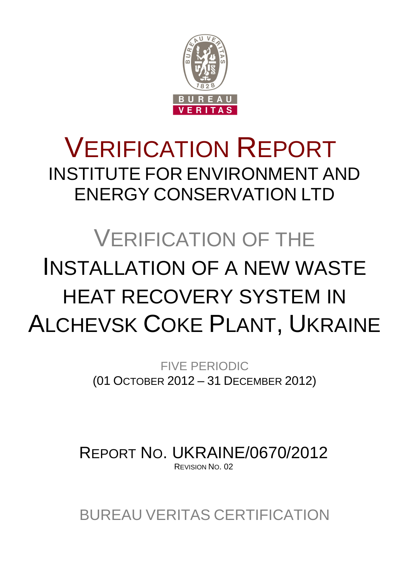

## VERIFICATION REPORT INSTITUTE FOR ENVIRONMENT AND ENERGY CONSERVATION LTD

# VERIFICATION OF THE INSTALLATION OF A NEW WASTE HEAT RECOVERY SYSTEM IN ALCHEVSK COKE PLANT, UKRAINE

FIVE PERIODIC (01 OCTOBER 2012 – 31 DECEMBER 2012)

REPORT NO. UKRAINE/0670/2012 REVISION NO. 02

BUREAU VERITAS CERTIFICATION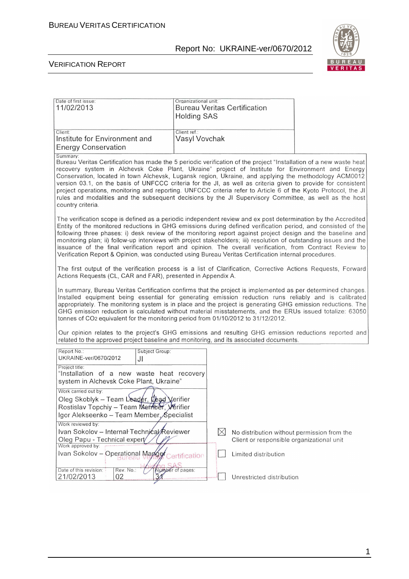

| Date of first issue:<br>11/02/2013                                                                                                                                       | Organizational unit:<br><b>Bureau Veritas Certification</b><br><b>Holding SAS</b>                                                                                                                                                                                                                                                                                                                                                                                                                                                                                                                                                                                                       |
|--------------------------------------------------------------------------------------------------------------------------------------------------------------------------|-----------------------------------------------------------------------------------------------------------------------------------------------------------------------------------------------------------------------------------------------------------------------------------------------------------------------------------------------------------------------------------------------------------------------------------------------------------------------------------------------------------------------------------------------------------------------------------------------------------------------------------------------------------------------------------------|
| Client:<br>Institute for Environment and<br><b>Energy Conservation</b>                                                                                                   | Client ref.:<br>Vasyl Vovchak                                                                                                                                                                                                                                                                                                                                                                                                                                                                                                                                                                                                                                                           |
| Summary:<br>country criteria.                                                                                                                                            | Bureau Veritas Certification has made the 5 periodic verification of the project "Installation of a new waste heat<br>recovery system in Alchevsk Coke Plant, Ukraine" project of Institute for Environment and Energy<br>Conservation, located in town Alchevsk, Lugansk region, Ukraine, and applying the methodology ACM0012<br>version 03.1, on the basis of UNFCCC criteria for the JI, as well as criteria given to provide for consistent<br>project operations, monitoring and reporting. UNFCCC criteria refer to Article 6 of the Kyoto Protocol, the JI<br>rules and modalities and the subsequent decisions by the JI Supervisory Committee, as well as the host            |
|                                                                                                                                                                          | The verification scope is defined as a periodic independent review and ex post determination by the Accredited<br>Entity of the monitored reductions in GHG emissions during defined verification period, and consisted of the<br>following three phases: i) desk review of the monitoring report against project design and the baseline and<br>monitoring plan; ii) follow-up interviews with project stakeholders; iii) resolution of outstanding issues and the<br>issuance of the final verification report and opinion. The overall verification, from Contract Review to<br>Verification Report & Opinion, was conducted using Bureau Veritas Certification internal procedures. |
| Actions Requests (CL, CAR and FAR), presented in Appendix A.                                                                                                             | The first output of the verification process is a list of Clarification, Corrective Actions Requests, Forward                                                                                                                                                                                                                                                                                                                                                                                                                                                                                                                                                                           |
|                                                                                                                                                                          | In summary, Bureau Veritas Certification confirms that the project is implemented as per determined changes.<br>Installed equipment being essential for generating emission reduction runs reliably and is calibrated<br>appropriately. The monitoring system is in place and the project is generating GHG emission reductions. The<br>GHG emission reduction is calculated without material misstatements, and the ERUs issued totalize: 63050<br>tonnes of CO <sub>2</sub> equivalent for the monitoring period from 01/10/2012 to 31/12/2012.                                                                                                                                       |
|                                                                                                                                                                          | Our opinion relates to the project's GHG emissions and resulting GHG emission reductions reported and<br>related to the approved project baseline and monitoring, and its associated documents.                                                                                                                                                                                                                                                                                                                                                                                                                                                                                         |
| Report No.:<br>Subject Group:<br>UKRAINE-ver/0670/2012<br>JI                                                                                                             |                                                                                                                                                                                                                                                                                                                                                                                                                                                                                                                                                                                                                                                                                         |
| Project title:<br>"Installation of a new waste heat recovery<br>system in Alchevsk Coke Plant, Ukraine"                                                                  |                                                                                                                                                                                                                                                                                                                                                                                                                                                                                                                                                                                                                                                                                         |
| Work carried out by:<br>Oleg Skoblyk - Team Leader, Lead Verifier<br>Rostislav Topchiy - Team Member, <i>y</i> erifier<br>Igor Alekseenko – Team Member, Specialist      |                                                                                                                                                                                                                                                                                                                                                                                                                                                                                                                                                                                                                                                                                         |
| Work reviewed by:<br>Ivan Sokolov - Internal Technical Reviewer<br>Oleg Papu - Technical expert/<br>Work approved by:<br>Ivan Sokolov - Operational Manger Certification | $\boxtimes$<br>No distribution without permission from the<br>Client or responsible organizational unit<br>Limited distribution                                                                                                                                                                                                                                                                                                                                                                                                                                                                                                                                                         |
| Date of this revision:<br>Rev. No.:<br>21/02/2013<br>02                                                                                                                  | Number of pages:<br>Unrestricted distribution                                                                                                                                                                                                                                                                                                                                                                                                                                                                                                                                                                                                                                           |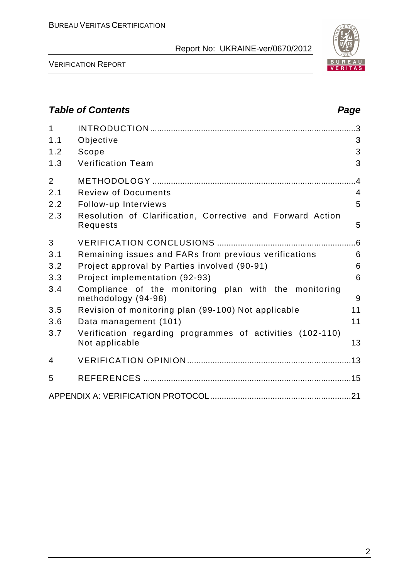

VERIFICATION REPORT

## **Table of Contents Page 2014** 1 INTRODUCTION ......................................................................................... 3 1.1 Objective 3 1.2 Scope 3 1.3 Verification Team 3 2 METHODOLOGY ........................................................................................ 4 2.1 Review of Documents 4 2.2 Follow-up Interviews 5 2.3 Resolution of Clarification, Corrective and Forward Action Requests 5 3 VERIFICATION CONCLUSIONS ............................................................ 6 3.1 Remaining issues and FARs from previous verifications 6 3.2 Project approval by Parties involved (90-91) 6 3.3 Project implementation (92-93) 6 3.4 Compliance of the monitoring plan with the monitoring methodology (94-98) 9 3.5 Revision of monitoring plan (99-100) Not applicable 11 3.6 Data management (101) 11 3.7 Verification regarding programmes of activities (102-110) Not applicable 13 4 VERIFICATION OPINION ....................................................................... 13 5 REFERENCES .......................................................................................... 15 APPENDIX A: VERIFICATION PROTOCOL ............................................................. 21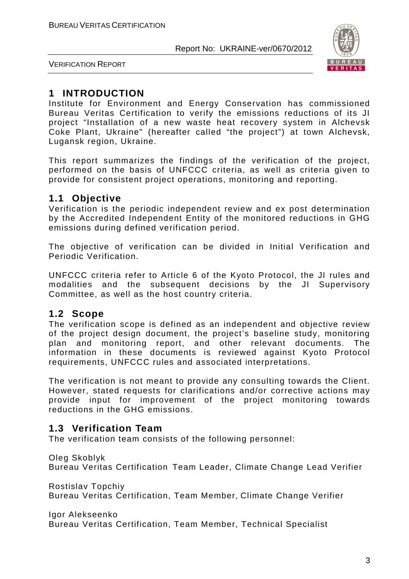

VERIFICATION REPORT

## **1 INTRODUCTION**

Institute for Environment and Energy Conservation has commissioned Bureau Veritas Certification to verify the emissions reductions of its JI project "Installation of a new waste heat recovery system in Alchevsk Coke Plant, Ukraine" (hereafter called "the project") at town Alchevsk, Lugansk region, Ukraine.

This report summarizes the findings of the verification of the project, performed on the basis of UNFCCC criteria, as well as criteria given to provide for consistent project operations, monitoring and reporting.

## **1.1 Objective**

Verification is the periodic independent review and ex post determination by the Accredited Independent Entity of the monitored reductions in GHG emissions during defined verification period.

The objective of verification can be divided in Initial Verification and Periodic Verification.

UNFCCC criteria refer to Article 6 of the Kyoto Protocol, the JI rules and modalities and the subsequent decisions by the JI Supervisory Committee, as well as the host country criteria.

## **1.2 Scope**

The verification scope is defined as an independent and objective review of the project design document, the project's baseline study, monitoring plan and monitoring report, and other relevant documents. The information in these documents is reviewed against Kyoto Protocol requirements, UNFCCC rules and associated interpretations.

The verification is not meant to provide any consulting towards the Client. However, stated requests for clarifications and/or corrective actions may provide input for improvement of the project monitoring towards reductions in the GHG emissions.

## **1.3 Verification Team**

The verification team consists of the following personnel:

Oleg Skoblyk Bureau Veritas Certification Team Leader, Climate Change Lead Verifier

Rostislav Topchiy Bureau Veritas Certification, Team Member, Climate Change Verifier

Igor Alekseenko

Bureau Veritas Certification, Team Member, Technical Specialist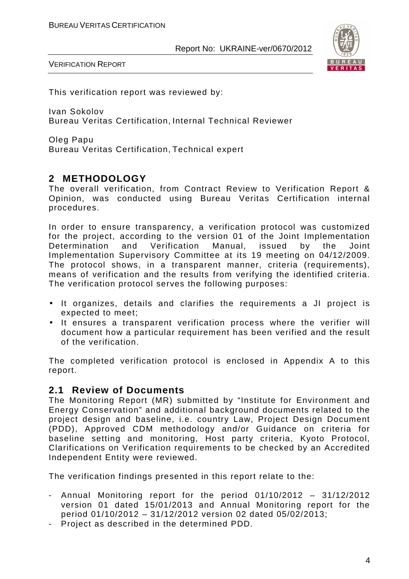

VERIFICATION REPORT

This verification report was reviewed by:

Ivan Sokolov Bureau Veritas Certification, Internal Technical Reviewer

Oleg Papu Bureau Veritas Certification, Technical expert

## **2 METHODOLOGY**

The overall verification, from Contract Review to Verification Report & Opinion, was conducted using Bureau Veritas Certification internal procedures.

In order to ensure transparency, a verification protocol was customized for the project, according to the version 01 of the Joint Implementation Determination and Verification Manual, issued by the Joint Implementation Supervisory Committee at its 19 meeting on 04/12/2009. The protocol shows, in a transparent manner, criteria (requirements), means of verification and the results from verifying the identified criteria. The verification protocol serves the following purposes:

- It organizes, details and clarifies the requirements a JI project is expected to meet;
- It ensures a transparent verification process where the verifier will document how a particular requirement has been verified and the result of the verification.

The completed verification protocol is enclosed in Appendix A to this report.

## **2.1 Review of Documents**

The Monitoring Report (MR) submitted by "Institute for Environment and Energy Conservation" and additional background documents related to the project design and baseline, i.e. country Law, Project Design Document (PDD), Approved CDM methodology and/or Guidance on criteria for baseline setting and monitoring, Host party criteria, Kyoto Protocol, Clarifications on Verification requirements to be checked by an Accredited Independent Entity were reviewed.

The verification findings presented in this report relate to the:

- Annual Monitoring report for the period 01/10/2012 31/12/2012 version 01 dated 15/01/2013 and Annual Monitoring report for the period 01/10/2012 – 31/12/2012 version 02 dated 05/02/2013;
- Project as described in the determined PDD.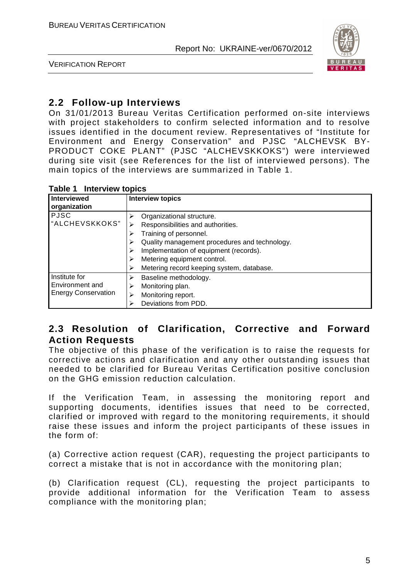

VERIFICATION REPORT

## **2.2 Follow-up Interviews**

On 31/01/2013 Bureau Veritas Certification performed on-site interviews with project stakeholders to confirm selected information and to resolve issues identified in the document review. Representatives of "Institute for Environment and Energy Conservation" and PJSC "ALCHEVSK BY-PRODUCT COKE PLANT" (PJSC "ALCHEVSKKOKS") were interviewed during site visit (see References for the list of interviewed persons). The main topics of the interviews are summarized in Table 1.

| Interviewed<br>organization                                    | <b>Interview topics</b>                                                                                                                                                                                                                                         |
|----------------------------------------------------------------|-----------------------------------------------------------------------------------------------------------------------------------------------------------------------------------------------------------------------------------------------------------------|
| <b>PJSC</b><br>"ALCHEVSKKOKS"                                  | Organizational structure.<br>Responsibilities and authorities.<br>Training of personnel.<br>Quality management procedures and technology.<br>Implementation of equipment (records).<br>Metering equipment control.<br>Metering record keeping system, database. |
| Institute for<br>Environment and<br><b>Energy Conservation</b> | Baseline methodology.<br>⋗<br>Monitoring plan.<br>Monitoring report.<br>⋗<br>Deviations from PDD.                                                                                                                                                               |

## **2.3 Resolution of Clarification, Corrective and Forward Action Requests**

The objective of this phase of the verification is to raise the requests for corrective actions and clarification and any other outstanding issues that needed to be clarified for Bureau Veritas Certification positive conclusion on the GHG emission reduction calculation.

If the Verification Team, in assessing the monitoring report and supporting documents, identifies issues that need to be corrected, clarified or improved with regard to the monitoring requirements, it should raise these issues and inform the project participants of these issues in the form of:

(a) Corrective action request (CAR), requesting the project participants to correct a mistake that is not in accordance with the monitoring plan;

(b) Clarification request (CL), requesting the project participants to provide additional information for the Verification Team to assess compliance with the monitoring plan;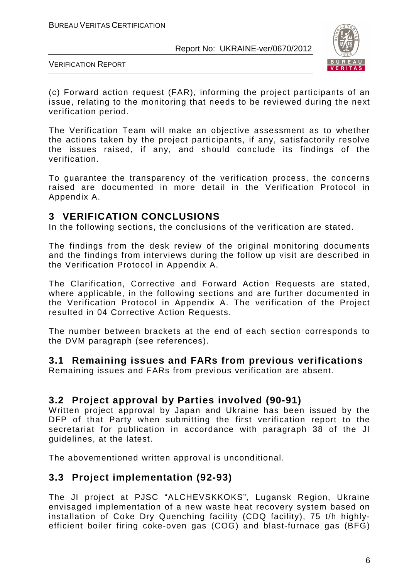

VERIFICATION REPORT

(c) Forward action request (FAR), informing the project participants of an issue, relating to the monitoring that needs to be reviewed during the next verification period.

The Verification Team will make an objective assessment as to whether the actions taken by the project participants, if any, satisfactorily resolve the issues raised, if any, and should conclude its findings of the verification.

To guarantee the transparency of the verification process, the concerns raised are documented in more detail in the Verification Protocol in Appendix A.

## **3 VERIFICATION CONCLUSIONS**

In the following sections, the conclusions of the verification are stated.

The findings from the desk review of the original monitoring documents and the findings from interviews during the follow up visit are described in the Verification Protocol in Appendix A.

The Clarification, Corrective and Forward Action Requests are stated, where applicable, in the following sections and are further documented in the Verification Protocol in Appendix A. The verification of the Project resulted in 04 Corrective Action Requests.

The number between brackets at the end of each section corresponds to the DVM paragraph (see references).

#### **3.1 Remaining issues and FARs from previous verifications**

Remaining issues and FARs from previous verification are absent.

## **3.2 Project approval by Parties involved (90-91)**

Written project approval by Japan and Ukraine has been issued by the DFP of that Party when submitting the first verification report to the secretariat for publication in accordance with paragraph 38 of the JI guidelines, at the latest.

The abovementioned written approval is unconditional.

#### **3.3 Project implementation (92-93)**

The JI project at PJSC "ALCHEVSKKOKS", Lugansk Region, Ukraine envisaged implementation of a new waste heat recovery system based on installation of Coke Dry Quenching facility (CDQ facility), 75 t/h highlyefficient boiler firing coke-oven gas (COG) and blast-furnace gas (BFG)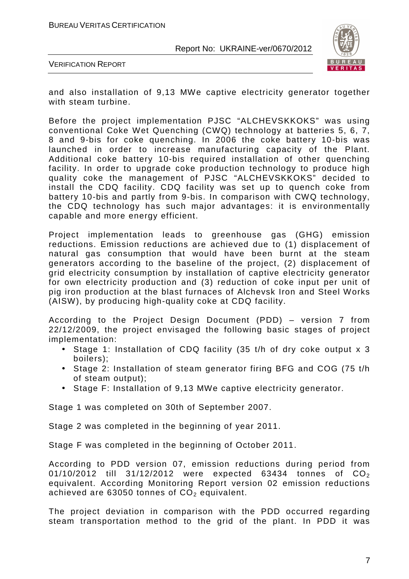

VERIFICATION REPORT

and also installation of 9,13 MWe captive electricity generator together with steam turbine.

Before the project implementation PJSC "ALCHEVSKKOKS" was using conventional Coke Wet Quenching (CWQ) technology at batteries 5, 6, 7, 8 and 9-bis for coke quenching. In 2006 the coke battery 10-bis was launched in order to increase manufacturing capacity of the Plant. Additional coke battery 10-bis required installation of other quenching facility. In order to upgrade coke production technology to produce high quality coke the management of PJSC "ALCHEVSKKOKS" decided to install the CDQ facility. CDQ facility was set up to quench coke from battery 10-bis and partly from 9-bis. In comparison with CWQ technology, the CDQ technology has such major advantages: it is environmentally capable and more energy efficient.

Project implementation leads to greenhouse gas (GHG) emission reductions. Emission reductions are achieved due to (1) displacement of natural gas consumption that would have been burnt at the steam generators according to the baseline of the project, (2) displacement of grid electricity consumption by installation of captive electricity generator for own electricity production and (3) reduction of coke input per unit of pig iron production at the blast furnaces of Alchevsk Iron and Steel Works (AISW), by producing high-quality coke at CDQ facility.

According to the Project Design Document (PDD) – version 7 from 22/12/2009, the project envisaged the following basic stages of project implementation:

- Stage 1: Installation of CDQ facility (35 t/h of dry coke output x 3 boilers);
- Stage 2: Installation of steam generator firing BFG and COG (75 t/h of steam output);
- Stage F: Installation of 9,13 MWe captive electricity generator.

Stage 1 was completed on 30th of September 2007.

Stage 2 was completed in the beginning of year 2011.

Stage F was completed in the beginning of October 2011.

According to PDD version 07, emission reductions during period from 01/10/2012 till 31/12/2012 were expected 63434 tonnes of  $CO_2$ equivalent. According Monitoring Report version 02 emission reductions achieved are  $63050$  tonnes of  $CO<sub>2</sub>$  equivalent.

The project deviation in comparison with the PDD occurred regarding steam transportation method to the grid of the plant. In PDD it was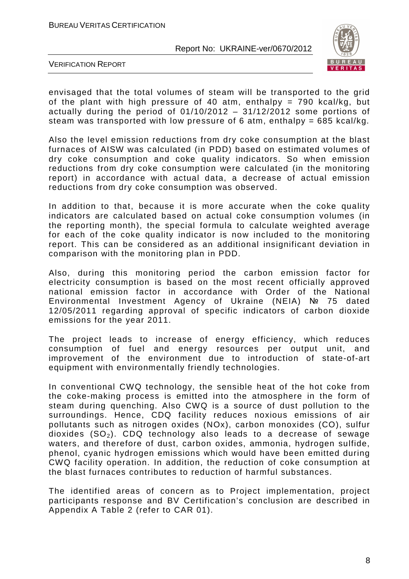

VERIFICATION REPORT

envisaged that the total volumes of steam will be transported to the grid of the plant with high pressure of 40 atm, enthalpy =  $790$  kcal/kg, but actually during the period of  $01/10/2012 - 31/12/2012$  some portions of steam was transported with low pressure of 6 atm, enthalpy =  $685$  kcal/kg.

Also the level emission reductions from dry coke consumption at the blast furnaces of AISW was calculated (in PDD) based on estimated volumes of dry coke consumption and coke quality indicators. So when emission reductions from dry coke consumption were calculated (in the monitoring report) in accordance with actual data, a decrease of actual emission reductions from dry coke consumption was observed.

In addition to that, because it is more accurate when the coke quality indicators are calculated based on actual coke consumption volumes (in the reporting month), the special formula to calculate weighted average for each of the coke quality indicator is now included to the monitoring report. This can be considered as an additional insignificant deviation in comparison with the monitoring plan in PDD.

Also, during this monitoring period the carbon emission factor for electricity consumption is based on the most recent officially approved national emission factor in accordance with Order of the National Environmental Investment Agency of Ukraine (NEIA) № 75 dated 12/05/2011 regarding approval of specific indicators of carbon dioxide emissions for the year 2011.

The project leads to increase of energy efficiency, which reduces consumption of fuel and energy resources per output unit, and improvement of the environment due to introduction of state-of-art equipment with environmentally friendly technologies.

In conventional CWQ technology, the sensible heat of the hot coke from the coke-making process is emitted into the atmosphere in the form of steam during quenching. Also CWQ is a source of dust pollution to the surroundings. Hence, CDQ facility reduces noxious emissions of air pollutants such as nitrogen oxides (NOx), carbon monoxides (CO), sulfur dioxides  $(SO<sub>2</sub>)$ . CDQ technology also leads to a decrease of sewage waters, and therefore of dust, carbon oxides, ammonia, hydrogen sulfide, phenol, cyanic hydrogen emissions which would have been emitted during CWQ facility operation. In addition, the reduction of coke consumption at the blast furnaces contributes to reduction of harmful substances.

The identified areas of concern as to Project implementation, project participants response and BV Certification's conclusion are described in Appendix A Table 2 (refer to CAR 01).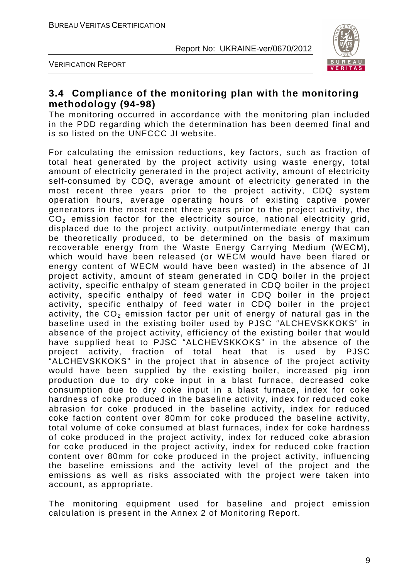

VERIFICATION REPORT

## **3.4 Compliance of the monitoring plan with the monitoring methodology (94-98)**

The monitoring occurred in accordance with the monitoring plan included in the PDD regarding which the determination has been deemed final and is so listed on the UNFCCC JI website.

For calculating the emission reductions, key factors, such as fraction of total heat generated by the project activity using waste energy, total amount of electricity generated in the project activity, amount of electricity self-consumed by CDQ, average amount of electricity generated in the most recent three years prior to the project activity, CDQ system operation hours, average operating hours of existing captive power generators in the most recent three years prior to the project activity, the  $CO<sub>2</sub>$  emission factor for the electricity source, national electricity grid, displaced due to the project activity, output/intermediate energy that can be theoretically produced, to be determined on the basis of maximum recoverable energy from the Waste Energy Carrying Medium (WECM), which would have been released (or WECM would have been flared or energy content of WECM would have been wasted) in the absence of JI project activity, amount of steam generated in CDQ boiler in the project activity, specific enthalpy of steam generated in CDQ boiler in the project activity, specific enthalpy of feed water in CDQ boiler in the project activity, specific enthalpy of feed water in CDQ boiler in the project activity, the  $CO<sub>2</sub>$  emission factor per unit of energy of natural gas in the baseline used in the existing boiler used by PJSC "ALCHEVSKKOKS" in absence of the project activity, efficiency of the existing boiler that would have supplied heat to PJSC "ALCHEVSKKOKS" in the absence of the project activity, fraction of total heat that is used by PJSC "ALCHEVSKKOKS" in the project that in absence of the project activity would have been supplied by the existing boiler, increased pig iron production due to dry coke input in a blast furnace, decreased coke consumption due to dry coke input in a blast furnace, index for coke hardness of coke produced in the baseline activity, index for reduced coke abrasion for coke produced in the baseline activity, index for reduced coke faction content over 80mm for coke produced the baseline activity, total volume of coke consumed at blast furnaces, index for coke hardness of coke produced in the project activity, index for reduced coke abrasion for coke produced in the project activity, index for reduced coke fraction content over 80mm for coke produced in the project activity, influencing the baseline emissions and the activity level of the project and the emissions as well as risks associated with the project were taken into account, as appropriate.

The monitoring equipment used for baseline and project emission calculation is present in the Annex 2 of Monitoring Report.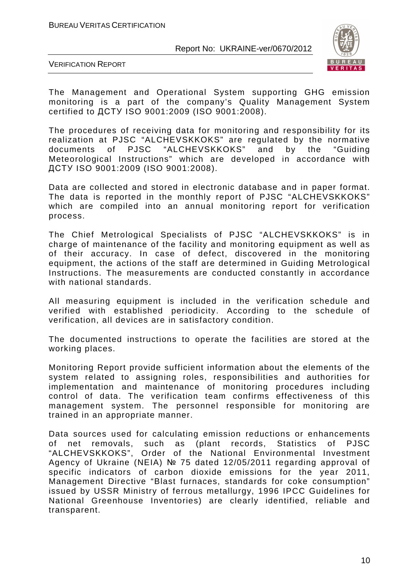

VERIFICATION REPORT

The Management and Operational System supporting GHG emission monitoring is a part of the company's Quality Management System certified to ДСТУ ISO 9001:2009 (ISO 9001:2008).

The procedures of receiving data for monitoring and responsibility for its realization at PJSC "ALCHEVSKKOKS" are regulated by the normative documents of PJSC "ALCHEVSKKOKS" and by the "Guiding Meteorological Instructions" which are developed in accordance with ДСТУ ISO 9001:2009 (ISO 9001:2008).

Data are collected and stored in electronic database and in paper format. The data is reported in the monthly report of PJSC "ALCHEVSKKOKS" which are compiled into an annual monitoring report for verification process.

The Chief Metrological Specialists of PJSC "ALCHEVSKKOKS" is in charge of maintenance of the facility and monitoring equipment as well as of their accuracy. In case of defect, discovered in the monitoring equipment, the actions of the staff are determined in Guiding Metrological Instructions. The measurements are conducted constantly in accordance with national standards.

All measuring equipment is included in the verification schedule and verified with established periodicity. According to the schedule of verification, all devices are in satisfactory condition.

The documented instructions to operate the facilities are stored at the working places.

Monitoring Report provide sufficient information about the elements of the system related to assigning roles, responsibilities and authorities for implementation and maintenance of monitoring procedures including control of data. The verification team confirms effectiveness of this management system. The personnel responsible for monitoring are trained in an appropriate manner.

Data sources used for calculating emission reductions or enhancements of net removals, such as (plant records, Statistics of PJSC "ALCHEVSKKOKS", Order of the National Environmental Investment Agency of Ukraine (NEIA) № 75 dated 12/05/2011 regarding approval of specific indicators of carbon dioxide emissions for the year 2011, Management Directive "Blast furnaces, standards for coke consumption" issued by USSR Ministry of ferrous metallurgy, 1996 IPCC Guidelines for National Greenhouse Inventories) are clearly identified, reliable and transparent.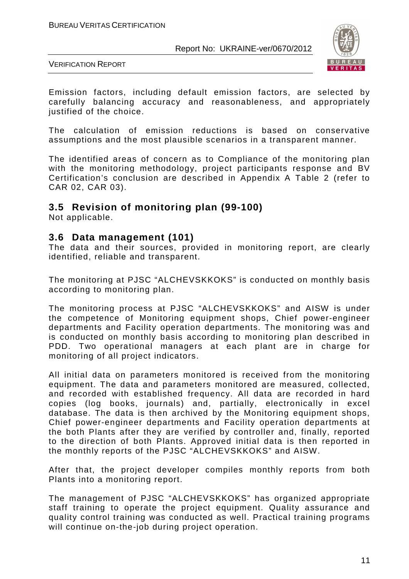

VERIFICATION REPORT

Emission factors, including default emission factors, are selected by carefully balancing accuracy and reasonableness, and appropriately justified of the choice.

The calculation of emission reductions is based on conservative assumptions and the most plausible scenarios in a transparent manner.

The identified areas of concern as to Compliance of the monitoring plan with the monitoring methodology, project participants response and BV Certification's conclusion are described in Appendix A Table 2 (refer to CAR 02, CAR 03).

#### **3.5 Revision of monitoring plan (99-100)**

Not applicable.

#### **3.6 Data management (101)**

The data and their sources, provided in monitoring report, are clearly identified, reliable and transparent.

The monitoring at PJSC "ALCHEVSKKOKS" is conducted on monthly basis according to monitoring plan.

The monitoring process at PJSC "ALCHEVSKKOKS" and AISW is under the competence of Monitoring equipment shops, Chief power-engineer departments and Facility operation departments. The monitoring was and is conducted on monthly basis according to monitoring plan described in PDD. Two operational managers at each plant are in charge for monitoring of all project indicators.

All initial data on parameters monitored is received from the monitoring equipment. The data and parameters monitored are measured, collected, and recorded with established frequency. All data are recorded in hard copies (log books, journals) and, partially, electronically in excel database. The data is then archived by the Monitoring equipment shops, Chief power-engineer departments and Facility operation departments at the both Plants after they are verified by controller and, finally, reported to the direction of both Plants. Approved initial data is then reported in the monthly reports of the PJSC "ALCHEVSKKOKS" and AISW.

After that, the project developer compiles monthly reports from both Plants into a monitoring report.

The management of PJSC "ALCHEVSKKOKS" has organized appropriate staff training to operate the project equipment. Quality assurance and quality control training was conducted as well. Practical training programs will continue on-the-job during project operation.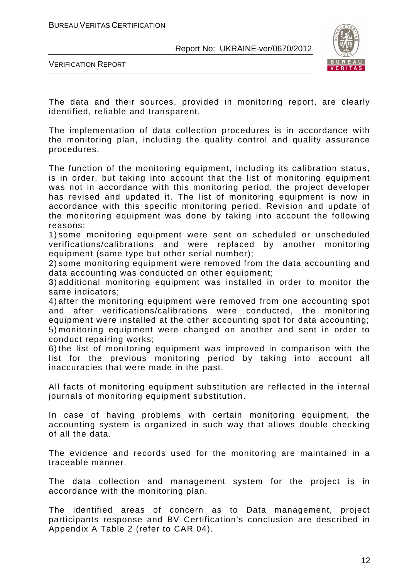

VERIFICATION REPORT

The data and their sources, provided in monitoring report, are clearly identified, reliable and transparent.

The implementation of data collection procedures is in accordance with the monitoring plan, including the quality control and quality assurance procedures.

The function of the monitoring equipment, including its calibration status, is in order, but taking into account that the list of monitoring equipment was not in accordance with this monitoring period, the project developer has revised and updated it. The list of monitoring equipment is now in accordance with this specific monitoring period. Revision and update of the monitoring equipment was done by taking into account the following reasons:

1) some monitoring equipment were sent on scheduled or unscheduled verifications/calibrations and were replaced by another monitoring equipment (same type but other serial number);

2) some monitoring equipment were removed from the data accounting and data accounting was conducted on other equipment;

3) additional monitoring equipment was installed in order to monitor the same indicators;

4) after the monitoring equipment were removed from one accounting spot and after verifications/calibrations were conducted, the monitoring equipment were installed at the other accounting spot for data accounting; 5) monitoring equipment were changed on another and sent in order to conduct repairing works;

6) the list of monitoring equipment was improved in comparison with the list for the previous monitoring period by taking into account all inaccuracies that were made in the past.

All facts of monitoring equipment substitution are reflected in the internal journals of monitoring equipment substitution.

In case of having problems with certain monitoring equipment, the accounting system is organized in such way that allows double checking of all the data.

The evidence and records used for the monitoring are maintained in a traceable manner.

The data collection and management system for the project is in accordance with the monitoring plan.

The identified areas of concern as to Data management, project participants response and BV Certification's conclusion are described in Appendix A Table 2 (refer to CAR 04).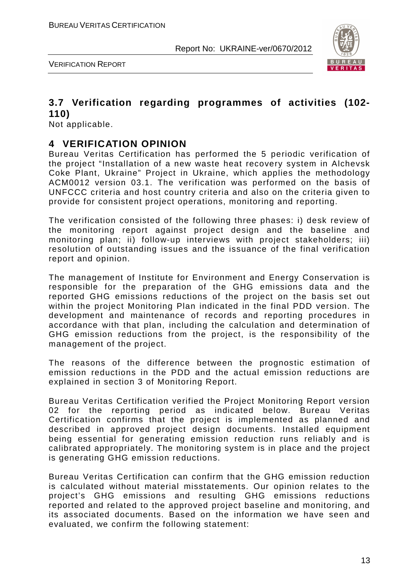

VERIFICATION REPORT

## **3.7 Verification regarding programmes of activities (102- 110)**

Not applicable.

## **4 VERIFICATION OPINION**

Bureau Veritas Certification has performed the 5 periodic verification of the project "Installation of a new waste heat recovery system in Alchevsk Coke Plant, Ukraine" Project in Ukraine, which applies the methodology ACM0012 version 03.1. The verification was performed on the basis of UNFCCC criteria and host country criteria and also on the criteria given to provide for consistent project operations, monitoring and reporting.

The verification consisted of the following three phases: i) desk review of the monitoring report against project design and the baseline and monitoring plan; ii) follow-up interviews with project stakeholders; iii) resolution of outstanding issues and the issuance of the final verification report and opinion.

The management of Institute for Environment and Energy Conservation is responsible for the preparation of the GHG emissions data and the reported GHG emissions reductions of the project on the basis set out within the project Monitoring Plan indicated in the final PDD version. The development and maintenance of records and reporting procedures in accordance with that plan, including the calculation and determination of GHG emission reductions from the project, is the responsibility of the management of the project.

The reasons of the difference between the prognostic estimation of emission reductions in the PDD and the actual emission reductions are explained in section 3 of Monitoring Report.

Bureau Veritas Certification verified the Project Monitoring Report version 02 for the reporting period as indicated below. Bureau Veritas Certification confirms that the project is implemented as planned and described in approved project design documents. Installed equipment being essential for generating emission reduction runs reliably and is calibrated appropriately. The monitoring system is in place and the project is generating GHG emission reductions.

Bureau Veritas Certification can confirm that the GHG emission reduction is calculated without material misstatements. Our opinion relates to the project's GHG emissions and resulting GHG emissions reductions reported and related to the approved project baseline and monitoring, and its associated documents. Based on the information we have seen and evaluated, we confirm the following statement: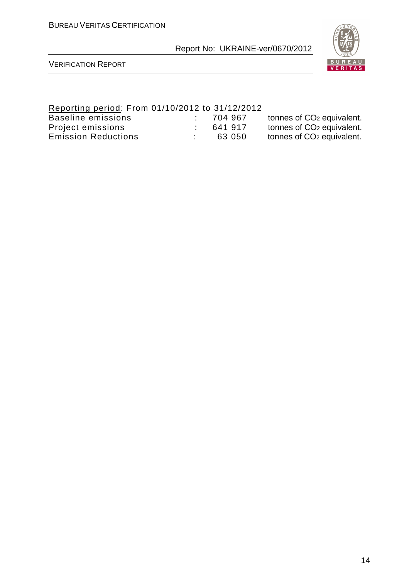

VERIFICATION REPORT

## Reporting period: From 01/10/2012 to 31/12/2012

| Baseline emissions         | 704 967 | tonnes of CO <sub>2</sub> equivalent. |
|----------------------------|---------|---------------------------------------|
| Project emissions          | 641917  | tonnes of CO <sub>2</sub> equivalent. |
| <b>Emission Reductions</b> | 63 050  | tonnes of CO <sub>2</sub> equivalent. |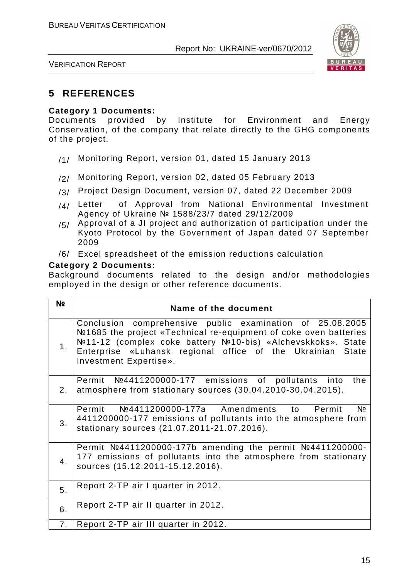

VERIFICATION REPORT

## **5 REFERENCES**

#### **Category 1 Documents:**

Documents provided by Institute for Environment and Energy Conservation, of the company that relate directly to the GHG components of the project.

- /1/ Monitoring Report, version 01, dated 15 January 2013
- /2/ Monitoring Report, version 02, dated 05 February 2013
- /3/ Project Design Document, version 07, dated 22 December 2009
- /4/ Letter of Approval from National Environmental Investment Agency of Ukraine № 1588/23/7 dated 29/12/2009
- $/5/$  Approval of a JI project and authorization of participation under the Kyoto Protocol by the Government of Japan dated 07 September 2009
- /6/ Excel spreadsheet of the emission reductions calculation

#### **Category 2 Documents:**

Background documents related to the design and/or methodologies employed in the design or other reference documents.

| N <sub>2</sub> | Name of the document                                                                                                                                                                                                                                                                    |
|----------------|-----------------------------------------------------------------------------------------------------------------------------------------------------------------------------------------------------------------------------------------------------------------------------------------|
| 1.             | Conclusion comprehensive public examination of 25.08.2005<br>Nº1685 the project «Technical re-equipment of coke oven batteries<br>Nº11-12 (complex coke battery Nº10-bis) «Alchevskkoks». State<br>Enterprise «Luhansk regional office of the Ukrainian State<br>Investment Expertise». |
| 2 <sub>1</sub> | Permit Nº4411200000-177 emissions of pollutants into<br>the<br>atmosphere from stationary sources (30.04.2010-30.04.2015).                                                                                                                                                              |
| 3.             | Permit Nº4411200000-177a Amendments to Permit<br>Nº<br>4411200000-177 emissions of pollutants into the atmosphere from<br>stationary sources (21.07.2011-21.07.2016).                                                                                                                   |
| 4.             | Permit $N24411200000-177b$ amending the permit $N24411200000-177b$<br>177 emissions of pollutants into the atmosphere from stationary<br>sources (15.12.2011-15.12.2016).                                                                                                               |
| 5.             | Report 2-TP air I quarter in 2012.                                                                                                                                                                                                                                                      |
| 6.             | Report 2-TP air II quarter in 2012.                                                                                                                                                                                                                                                     |
| 7.             | Report 2-TP air III quarter in 2012.                                                                                                                                                                                                                                                    |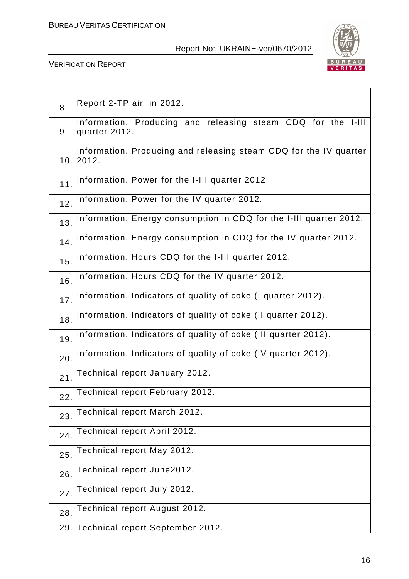

| 8.  | Report 2-TP air in 2012.                                                      |
|-----|-------------------------------------------------------------------------------|
| 9.  | Information. Producing and releasing steam CDQ for the I-III<br>quarter 2012. |
| 10. | Information. Producing and releasing steam CDQ for the IV quarter<br>2012.    |
| 11  | Information. Power for the I-III quarter 2012.                                |
| 12. | Information. Power for the IV quarter 2012.                                   |
| 13. | Information. Energy consumption in CDQ for the I-III quarter 2012.            |
| 14. | Information. Energy consumption in CDQ for the IV quarter 2012.               |
| 15. | Information. Hours CDQ for the I-III quarter 2012.                            |
| 16. | Information. Hours CDQ for the IV quarter 2012.                               |
| 17. | Information. Indicators of quality of coke (I quarter 2012).                  |
| 18. | Information. Indicators of quality of coke (II quarter 2012).                 |
| 19. | Information. Indicators of quality of coke (III quarter 2012).                |
| 20. | Information. Indicators of quality of coke (IV quarter 2012).                 |
| 21  | Technical report January 2012.                                                |
| 22. | Technical report February 2012.                                               |
| 23. | Technical report March 2012.                                                  |
| 24. | Technical report April 2012.                                                  |
| 25. | Technical report May 2012.                                                    |
| 26. | Technical report June2012.                                                    |
| 27  | Technical report July 2012.                                                   |
| 28. | Technical report August 2012.                                                 |
| 29. | Technical report September 2012.                                              |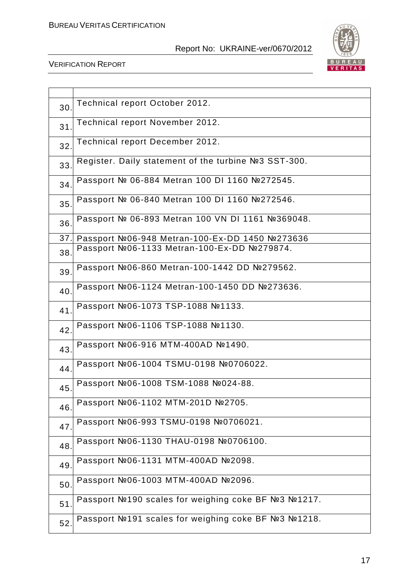

| 30  | Technical report October 2012.                       |
|-----|------------------------------------------------------|
| 31  | Technical report November 2012.                      |
| 32. | Technical report December 2012.                      |
| 33. | Register. Daily statement of the turbine №3 SST-300. |
| 34. | Passport № 06-884 Metran 100 DI 1160 №272545.        |
| 35. | Passport № 06-840 Metran 100 DI 1160 №272546.        |
| 36. | Passport № 06-893 Metran 100 VN DI 1161 №369048.     |
| 37. | Passport №06-948 Metran-100-Ex-DD 1450 №273636       |
|     | Passport №06-1133 Metran-100-Ex-DD №279874.          |
| 38. |                                                      |
| 39. | Passport №06-860 Metran-100-1442 DD №279562.         |
| 40. | Passport №06-1124 Metran-100-1450 DD №273636.        |
| 41  | Passport №06-1073 TSP-1088 №1133.                    |
| 42. | Passport №06-1106 TSP-1088 №1130.                    |
| 43. | Passport №06-916 MTM-400AD №1490.                    |
| 44  | Passport №06-1004 TSMU-0198 №0706022.                |
| 45  | Passport №06-1008 TSM-1088 №024-88.                  |
| 46. | Passport №06-1102 MTM-201D №2705.                    |
| 47. | Passport №06-993 TSMU-0198 №0706021.                 |
| 48. | Passport №06-1130 THAU-0198 №0706100.                |
| 49. | Passport №06-1131 MTM-400AD №2098.                   |
| 50. | Passport №06-1003 MTM-400AD №2096.                   |
| 51  | Passport №190 scales for weighing coke BF №3 №1217.  |
| 52. | Passport №191 scales for weighing coke BF №3 №1218.  |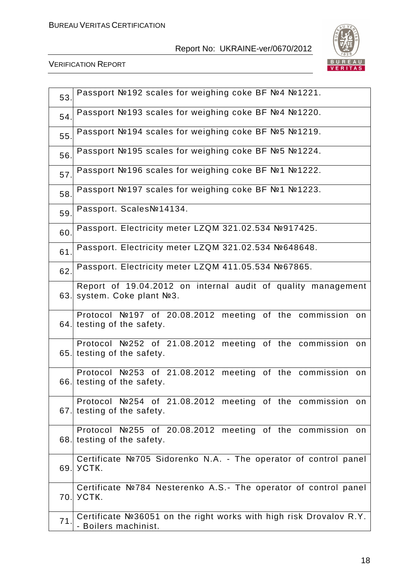

| 53.  | Passport №192 scales for weighing coke BF №4 №1221.                                                  |
|------|------------------------------------------------------------------------------------------------------|
| 54.  | Passport №193 scales for weighing coke BF №4 №1220.                                                  |
| 55.  | Passport №194 scales for weighing coke BF №5 №1219.                                                  |
| 56.  | Passport №195 scales for weighing coke BF №5 №1224.                                                  |
| 57.  | Passport №196 scales for weighing coke BF №1 №1222.                                                  |
| 58.  | Passport №197 scales for weighing coke BF №1 №1223.                                                  |
| 59.  | Passport. ScalesNº14134.                                                                             |
| 60.  | Passport. Electricity meter LZQM 321.02.534 №917425.                                                 |
| 61   | Passport. Electricity meter LZQM 321.02.534 №648648.                                                 |
| 62.  | Passport. Electricity meter LZQM 411.05.534 №67865.                                                  |
| 63.  | Report of 19.04.2012 on internal audit of quality management<br>system. Coke plant No <sub>2</sub> . |
| 64.  | Protocol №197 of 20.08.2012 meeting of the commission on<br>testing of the safety.                   |
| 65.  | Protocol №252 of 21.08.2012 meeting of the commission<br>on<br>testing of the safety.                |
| 66.  | Protocol №253 of 21.08.2012 meeting of the commission on<br>testing of the safety.                   |
| 67.I | Protocol №254 of 21.08.2012 meeting of the commission on<br>testing of the safety.                   |
| 68.  | Protocol №255 of 20.08.2012 meeting of the commission on<br>testing of the safety.                   |
| 69.  | Certificate №705 Sidorenko N.A. - The operator of control panel<br><b>YCTK.</b>                      |
| 70.  | Certificate №784 Nesterenko A.S.- The operator of control panel<br><b>YCTK.</b>                      |
| 71.  | Certificate Nº36051 on the right works with high risk Drovalov R.Y.<br>- Boilers machinist.          |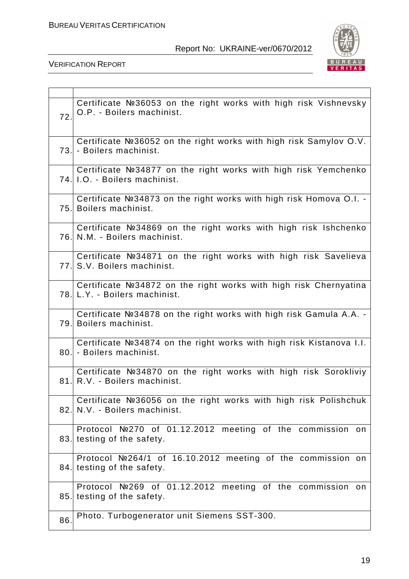

| 72.  | Certificate №36053 on the right works with high risk Vishnevsky<br>O.P. - Boilers machinist.      |
|------|---------------------------------------------------------------------------------------------------|
|      | Certificate №36052 on the right works with high risk Samylov O.V.<br>73. - Boilers machinist.     |
|      | Certificate Nº34877 on the right works with high risk Yemchenko<br>74. I.O. - Boilers machinist.  |
| 75.I | Certificate Nº34873 on the right works with high risk Homova O.I. -<br>Boilers machinist.         |
|      | Certificate №34869 on the right works with high risk Ishchenko<br>76. N.M. - Boilers machinist.   |
|      | Certificate №34871 on the right works with high risk Savelieva<br>77. S.V. Boilers machinist.     |
|      | Certificate №34872 on the right works with high risk Chernyatina<br>78. L.Y. - Boilers machinist. |
| 79.  | Certificate Nº34878 on the right works with high risk Gamula A.A. -<br>Boilers machinist.         |
| 80.1 | Certificate Nº34874 on the right works with high risk Kistanova I.I.<br>- Boilers machinist.      |
|      | Certificate №34870 on the right works with high risk Sorokliviy<br>81. R.V. - Boilers machinist.  |
| 82.  | Certificate Nº36056 on the right works with high risk Polishchuk<br>N.V. - Boilers machinist.     |
|      | Protocol №270 of 01.12.2012 meeting of the commission on<br>83. testing of the safety.            |
|      | Protocol №264/1 of 16.10.2012 meeting of the commission on<br>84. testing of the safety.          |
| 85.  | Protocol №269 of 01.12.2012 meeting of the commission on<br>testing of the safety.                |
| 86.  | Photo. Turbogenerator unit Siemens SST-300.                                                       |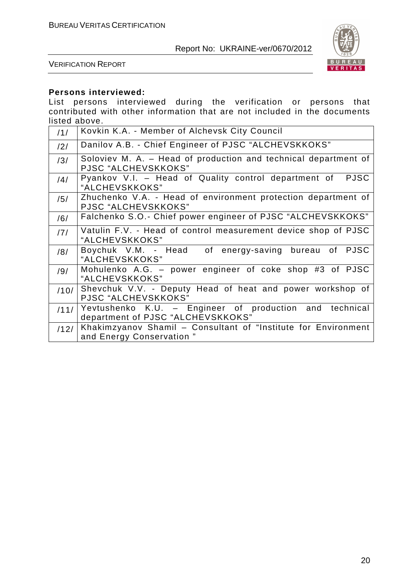

VERIFICATION REPORT

## **Persons interviewed:**

List persons interviewed during the verification or persons that contributed with other information that are not included in the documents listed above.

| 11/  | Kovkin K.A. - Member of Alchevsk City Council                                                |
|------|----------------------------------------------------------------------------------------------|
| /2/  | Danilov A.B. - Chief Engineer of PJSC "ALCHEVSKKOKS"                                         |
| /3/  | Soloviev M. A. – Head of production and technical department of<br>PJSC "ALCHEVSKKOKS"       |
| /4/  | Pyankov V.I. - Head of Quality control department of<br><b>PJSC</b><br>"ALCHEVSKKOKS"        |
| /5/  | Zhuchenko V.A. - Head of environment protection department of<br>PJSC "ALCHEVSKKOKS"         |
| /6/  | Falchenko S.O.- Chief power engineer of PJSC "ALCHEVSKKOKS"                                  |
| /7/  | Vatulin F.V. - Head of control measurement device shop of PJSC<br>"ALCHEVSKKOKS"             |
| /8/  | Boychuk V.M. - Head of energy-saving bureau of PJSC<br>"ALCHEVSKKOKS"                        |
| /9/  | Mohulenko A.G. - power engineer of coke shop #3 of PJSC<br>"ALCHEVSKKOKS"                    |
| /10/ | Shevchuk V.V. - Deputy Head of heat and power workshop of<br>PJSC "ALCHEVSKKOKS"             |
| /11/ | Yevtushenko K.U. - Engineer of production and technical<br>department of PJSC "ALCHEVSKKOKS" |
| /12/ | Khakimzyanov Shamil - Consultant of "Institute for Environment"<br>and Energy Conservation"  |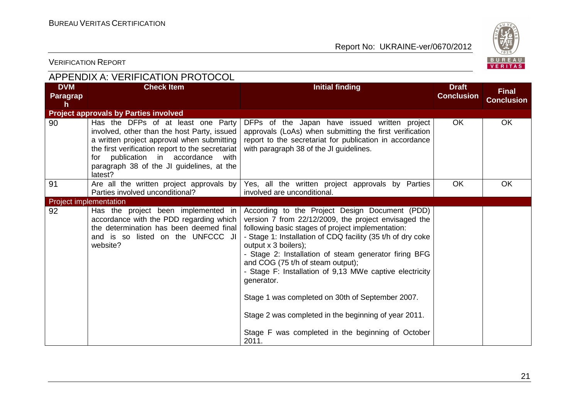

| <b>APPENDIX A: VERIFICATION PROTOCOL</b>      |                                                                                                                                                                                                                                                                                      |                                                                                                                                                                                                                                                                                                                                                                                                                                                                                                                                       |                                   |                                   |  |
|-----------------------------------------------|--------------------------------------------------------------------------------------------------------------------------------------------------------------------------------------------------------------------------------------------------------------------------------------|---------------------------------------------------------------------------------------------------------------------------------------------------------------------------------------------------------------------------------------------------------------------------------------------------------------------------------------------------------------------------------------------------------------------------------------------------------------------------------------------------------------------------------------|-----------------------------------|-----------------------------------|--|
| <b>DVM</b><br><b>Paragrap</b><br>$\mathsf{h}$ | <b>Check Item</b>                                                                                                                                                                                                                                                                    | <b>Initial finding</b>                                                                                                                                                                                                                                                                                                                                                                                                                                                                                                                | <b>Draft</b><br><b>Conclusion</b> | <b>Final</b><br><b>Conclusion</b> |  |
|                                               | <b>Project approvals by Parties involved</b>                                                                                                                                                                                                                                         |                                                                                                                                                                                                                                                                                                                                                                                                                                                                                                                                       |                                   |                                   |  |
| 90                                            | Has the DFPs of at least one Party<br>involved, other than the host Party, issued<br>a written project approval when submitting<br>the first verification report to the secretariat<br>for publication in accordance<br>with<br>paragraph 38 of the JI guidelines, at the<br>latest? | DFPs of the Japan have issued written project<br>approvals (LoAs) when submitting the first verification<br>report to the secretariat for publication in accordance<br>with paragraph 38 of the JI guidelines.                                                                                                                                                                                                                                                                                                                        | <b>OK</b>                         | <b>OK</b>                         |  |
| 91                                            | Are all the written project approvals by<br>Parties involved unconditional?                                                                                                                                                                                                          | Yes, all the written project approvals by Parties<br>involved are unconditional.                                                                                                                                                                                                                                                                                                                                                                                                                                                      | OK                                | <b>OK</b>                         |  |
| <b>Project implementation</b>                 |                                                                                                                                                                                                                                                                                      |                                                                                                                                                                                                                                                                                                                                                                                                                                                                                                                                       |                                   |                                   |  |
| 92                                            | Has the project been implemented in<br>accordance with the PDD regarding which<br>the determination has been deemed final<br>and is so listed on the UNFCCC JI<br>website?                                                                                                           | According to the Project Design Document (PDD)<br>version 7 from 22/12/2009, the project envisaged the<br>following basic stages of project implementation:<br>- Stage 1: Installation of CDQ facility (35 t/h of dry coke<br>output x 3 boilers);<br>- Stage 2: Installation of steam generator firing BFG<br>and COG (75 t/h of steam output);<br>- Stage F: Installation of 9,13 MWe captive electricity<br>generator.<br>Stage 1 was completed on 30th of September 2007.<br>Stage 2 was completed in the beginning of year 2011. |                                   |                                   |  |
|                                               |                                                                                                                                                                                                                                                                                      | Stage F was completed in the beginning of October<br>2011.                                                                                                                                                                                                                                                                                                                                                                                                                                                                            |                                   |                                   |  |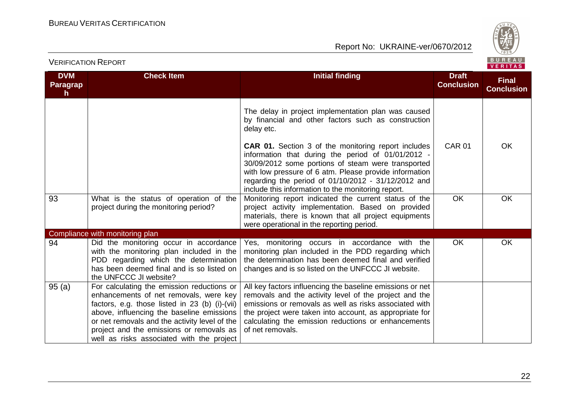



| <b>DVM</b><br><b>Paragrap</b><br>h. | <b>Check Item</b>                                                                                                                                                                                                                                                                                                             | <b>Initial finding</b>                                                                                                                                                                                                                                                                                                                        | <b>Draft</b><br><b>Conclusion</b> | <b>Final</b><br><b>Conclusion</b> |
|-------------------------------------|-------------------------------------------------------------------------------------------------------------------------------------------------------------------------------------------------------------------------------------------------------------------------------------------------------------------------------|-----------------------------------------------------------------------------------------------------------------------------------------------------------------------------------------------------------------------------------------------------------------------------------------------------------------------------------------------|-----------------------------------|-----------------------------------|
|                                     |                                                                                                                                                                                                                                                                                                                               | The delay in project implementation plan was caused<br>by financial and other factors such as construction<br>delay etc.                                                                                                                                                                                                                      |                                   |                                   |
|                                     |                                                                                                                                                                                                                                                                                                                               | <b>CAR 01.</b> Section 3 of the monitoring report includes<br>information that during the period of 01/01/2012 -<br>30/09/2012 some portions of steam were transported<br>with low pressure of 6 atm. Please provide information<br>regarding the period of 01/10/2012 - 31/12/2012 and<br>include this information to the monitoring report. | <b>CAR 01</b>                     | <b>OK</b>                         |
| 93                                  | What is the status of operation of the<br>project during the monitoring period?                                                                                                                                                                                                                                               | Monitoring report indicated the current status of the<br>project activity implementation. Based on provided<br>materials, there is known that all project equipments<br>were operational in the reporting period.                                                                                                                             | <b>OK</b>                         | <b>OK</b>                         |
|                                     | Compliance with monitoring plan                                                                                                                                                                                                                                                                                               |                                                                                                                                                                                                                                                                                                                                               |                                   |                                   |
| 94                                  | Did the monitoring occur in accordance<br>with the monitoring plan included in the<br>PDD regarding which the determination<br>has been deemed final and is so listed on<br>the UNFCCC JI website?                                                                                                                            | Yes, monitoring occurs in accordance with the<br>monitoring plan included in the PDD regarding which<br>the determination has been deemed final and verified<br>changes and is so listed on the UNFCCC JI website.                                                                                                                            | <b>OK</b>                         | <b>OK</b>                         |
| 95(a)                               | For calculating the emission reductions or<br>enhancements of net removals, were key<br>factors, e.g. those listed in 23 (b) (i)-(vii)<br>above, influencing the baseline emissions<br>or net removals and the activity level of the<br>project and the emissions or removals as<br>well as risks associated with the project | All key factors influencing the baseline emissions or net<br>removals and the activity level of the project and the<br>emissions or removals as well as risks associated with<br>the project were taken into account, as appropriate for<br>calculating the emission reductions or enhancements<br>of net removals.                           |                                   |                                   |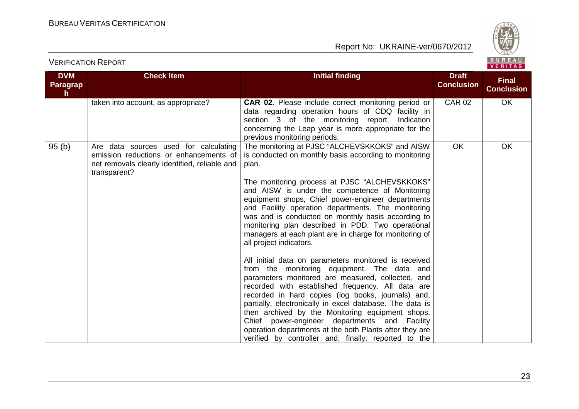

| <b>DVM</b><br><b>Paragrap</b><br>$\mathsf{h}$ | <b>Check Item</b>                                                                                                                                | <b>Initial finding</b>                                                                                                                                                                                                                                                                                                                                                                                                                                                                                                                                                             | <b>Draft</b><br><b>Conclusion</b> | <b>Final</b><br><b>Conclusion</b> |
|-----------------------------------------------|--------------------------------------------------------------------------------------------------------------------------------------------------|------------------------------------------------------------------------------------------------------------------------------------------------------------------------------------------------------------------------------------------------------------------------------------------------------------------------------------------------------------------------------------------------------------------------------------------------------------------------------------------------------------------------------------------------------------------------------------|-----------------------------------|-----------------------------------|
|                                               | taken into account, as appropriate?                                                                                                              | <b>CAR 02.</b> Please include correct monitoring period or<br>data regarding operation hours of CDQ facility in<br>section 3 of the monitoring report.<br>Indication<br>concerning the Leap year is more appropriate for the<br>previous monitoring periods.                                                                                                                                                                                                                                                                                                                       | <b>CAR 02</b>                     | OK                                |
| 95(b)                                         | Are data sources used for calculating<br>emission reductions or enhancements of<br>net removals clearly identified, reliable and<br>transparent? | The monitoring at PJSC "ALCHEVSKKOKS" and AISW<br>is conducted on monthly basis according to monitoring<br>plan.<br>The monitoring process at PJSC "ALCHEVSKKOKS"<br>and AISW is under the competence of Monitoring<br>equipment shops, Chief power-engineer departments<br>and Facility operation departments. The monitoring<br>was and is conducted on monthly basis according to<br>monitoring plan described in PDD. Two operational<br>managers at each plant are in charge for monitoring of                                                                                | <b>OK</b>                         | OK                                |
|                                               |                                                                                                                                                  | all project indicators.<br>All initial data on parameters monitored is received<br>from the monitoring equipment. The data and<br>parameters monitored are measured, collected, and<br>recorded with established frequency. All data are<br>recorded in hard copies (log books, journals) and,<br>partially, electronically in excel database. The data is<br>then archived by the Monitoring equipment shops,<br>Chief power-engineer departments and Facility<br>operation departments at the both Plants after they are<br>verified by controller and, finally, reported to the |                                   |                                   |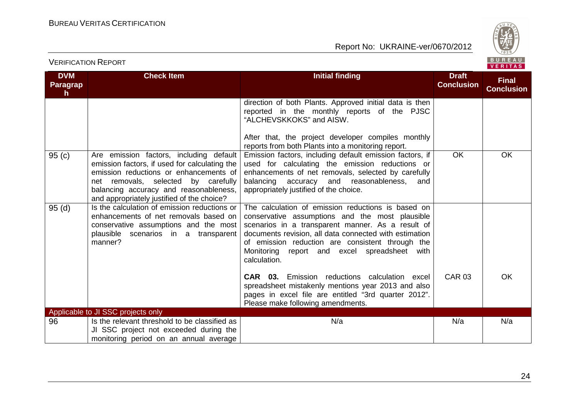

| <b>DVM</b><br>Paragrap | <b>Check Item</b>                                                                                                                                                                                                                                                 | <b>Initial finding</b>                                                                                                                                                                                                                                                                                                                   | <b>Draft</b><br><b>Conclusion</b> | <b>Final</b>      |
|------------------------|-------------------------------------------------------------------------------------------------------------------------------------------------------------------------------------------------------------------------------------------------------------------|------------------------------------------------------------------------------------------------------------------------------------------------------------------------------------------------------------------------------------------------------------------------------------------------------------------------------------------|-----------------------------------|-------------------|
| h.                     |                                                                                                                                                                                                                                                                   |                                                                                                                                                                                                                                                                                                                                          |                                   | <b>Conclusion</b> |
|                        |                                                                                                                                                                                                                                                                   | direction of both Plants. Approved initial data is then<br>reported in the monthly reports of the PJSC<br>"ALCHEVSKKOKS" and AISW.                                                                                                                                                                                                       |                                   |                   |
|                        |                                                                                                                                                                                                                                                                   | After that, the project developer compiles monthly<br>reports from both Plants into a monitoring report.                                                                                                                                                                                                                                 |                                   |                   |
| 95(c)                  | Are emission factors, including default<br>emission factors, if used for calculating the<br>emission reductions or enhancements of<br>net removals, selected by carefully<br>balancing accuracy and reasonableness,<br>and appropriately justified of the choice? | Emission factors, including default emission factors, if<br>used for calculating the emission reductions or<br>enhancements of net removals, selected by carefully<br>balancing accuracy and reasonableness, and<br>appropriately justified of the choice.                                                                               | <b>OK</b>                         | OK                |
| 95(d)                  | Is the calculation of emission reductions or<br>enhancements of net removals based on<br>conservative assumptions and the most<br>plausible scenarios in a transparent<br>manner?                                                                                 | The calculation of emission reductions is based on<br>conservative assumptions and the most plausible<br>scenarios in a transparent manner. As a result of<br>documents revision, all data connected with estimation<br>of emission reduction are consistent through the<br>Monitoring report and excel spreadsheet with<br>calculation. |                                   |                   |
|                        |                                                                                                                                                                                                                                                                   | <b>CAR 03.</b> Emission reductions calculation excel<br>spreadsheet mistakenly mentions year 2013 and also<br>pages in excel file are entitled "3rd quarter 2012".<br>Please make following amendments.                                                                                                                                  | <b>CAR 03</b>                     | OK                |
|                        | Applicable to JI SSC projects only                                                                                                                                                                                                                                |                                                                                                                                                                                                                                                                                                                                          |                                   |                   |
| 96                     | Is the relevant threshold to be classified as<br>JI SSC project not exceeded during the<br>monitoring period on an annual average                                                                                                                                 | N/a                                                                                                                                                                                                                                                                                                                                      | N/a                               | N/a               |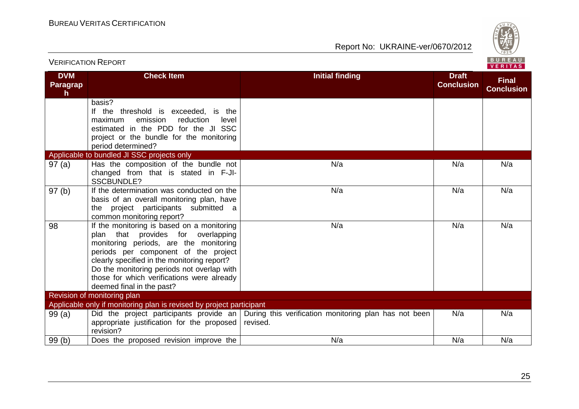

|                                     |                                                                                                                                                                                                                                                                                                                                            |                                                                                                           |                                   | <b>VENIIAS</b>                    |
|-------------------------------------|--------------------------------------------------------------------------------------------------------------------------------------------------------------------------------------------------------------------------------------------------------------------------------------------------------------------------------------------|-----------------------------------------------------------------------------------------------------------|-----------------------------------|-----------------------------------|
| <b>DVM</b><br><b>Paragrap</b><br>h. | <b>Check Item</b>                                                                                                                                                                                                                                                                                                                          | <b>Initial finding</b>                                                                                    | <b>Draft</b><br><b>Conclusion</b> | <b>Final</b><br><b>Conclusion</b> |
|                                     | basis?<br>If the threshold is exceeded, is the<br>emission<br>reduction<br>maximum<br>level<br>estimated in the PDD for the JI SSC<br>project or the bundle for the monitoring<br>period determined?                                                                                                                                       |                                                                                                           |                                   |                                   |
|                                     | Applicable to bundled JI SSC projects only                                                                                                                                                                                                                                                                                                 |                                                                                                           |                                   |                                   |
| 97(a)                               | Has the composition of the bundle not<br>changed from that is stated in F-JI-<br><b>SSCBUNDLE?</b>                                                                                                                                                                                                                                         | N/a                                                                                                       | N/a                               | N/a                               |
| 97(b)                               | If the determination was conducted on the<br>basis of an overall monitoring plan, have<br>the project participants submitted a<br>common monitoring report?                                                                                                                                                                                | N/a                                                                                                       | N/a                               | N/a                               |
| 98                                  | If the monitoring is based on a monitoring<br>plan that provides for overlapping<br>monitoring periods, are the monitoring<br>periods per component of the project<br>clearly specified in the monitoring report?<br>Do the monitoring periods not overlap with<br>those for which verifications were already<br>deemed final in the past? | N/a                                                                                                       | N/a                               | N/a                               |
|                                     | Revision of monitoring plan                                                                                                                                                                                                                                                                                                                |                                                                                                           |                                   |                                   |
|                                     | Applicable only if monitoring plan is revised by project participant                                                                                                                                                                                                                                                                       |                                                                                                           |                                   |                                   |
| 99(a)                               | appropriate justification for the proposed<br>revision?                                                                                                                                                                                                                                                                                    | Did the project participants provide an During this verification monitoring plan has not been<br>revised. | N/a                               | N/a                               |
| 99(b)                               | Does the proposed revision improve the                                                                                                                                                                                                                                                                                                     | N/a                                                                                                       | N/a                               | N/a                               |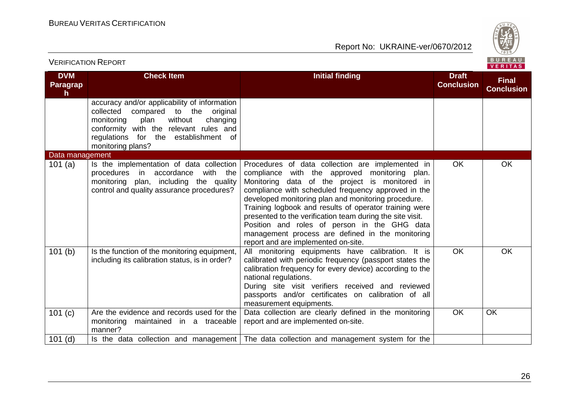

| <b>VERIFICATION REPORT</b>  |                                                                                                                                                                                                                                                 |                                                                                                                                                                                                                                                                                                                                                                                                                                                                                                                                     |                                   | BUREAU<br>VERITAS                 |
|-----------------------------|-------------------------------------------------------------------------------------------------------------------------------------------------------------------------------------------------------------------------------------------------|-------------------------------------------------------------------------------------------------------------------------------------------------------------------------------------------------------------------------------------------------------------------------------------------------------------------------------------------------------------------------------------------------------------------------------------------------------------------------------------------------------------------------------------|-----------------------------------|-----------------------------------|
| <b>DVM</b><br>Paragrap<br>h | <b>Check Item</b>                                                                                                                                                                                                                               | <b>Initial finding</b>                                                                                                                                                                                                                                                                                                                                                                                                                                                                                                              | <b>Draft</b><br><b>Conclusion</b> | <b>Final</b><br><b>Conclusion</b> |
|                             | accuracy and/or applicability of information<br>collected<br>compared<br>to the<br>original<br>without<br>changing<br>monitoring<br>plan<br>conformity with the relevant rules and<br>regulations for the establishment of<br>monitoring plans? |                                                                                                                                                                                                                                                                                                                                                                                                                                                                                                                                     |                                   |                                   |
| Data management             |                                                                                                                                                                                                                                                 |                                                                                                                                                                                                                                                                                                                                                                                                                                                                                                                                     |                                   |                                   |
| 101(a)                      | Is the implementation of data collection<br>procedures<br>accordance<br>with the<br>in<br>monitoring<br>plan, including the quality<br>control and quality assurance procedures?                                                                | Procedures of data collection are implemented in<br>compliance with the approved monitoring plan.<br>Monitoring data of the project is monitored in<br>compliance with scheduled frequency approved in the<br>developed monitoring plan and monitoring procedure.<br>Training logbook and results of operator training were<br>presented to the verification team during the site visit.<br>Position and roles of person in the GHG data<br>management process are defined in the monitoring<br>report and are implemented on-site. | <b>OK</b>                         | <b>OK</b>                         |
| 101(b)                      | Is the function of the monitoring equipment,<br>including its calibration status, is in order?                                                                                                                                                  | All monitoring equipments have calibration. It is<br>calibrated with periodic frequency (passport states the<br>calibration frequency for every device) according to the<br>national regulations.<br>During site visit verifiers received and reviewed<br>passports and/or certificates on calibration of all<br>measurement equipments.                                                                                                                                                                                            | $\overline{OK}$                   | OK                                |
| 101 (c)                     | Are the evidence and records used for the<br>maintained in a traceable<br>monitoring<br>manner?                                                                                                                                                 | Data collection are clearly defined in the monitoring<br>report and are implemented on-site.                                                                                                                                                                                                                                                                                                                                                                                                                                        | <b>OK</b>                         | OK                                |
| $101$ (d)                   |                                                                                                                                                                                                                                                 | Is the data collection and management   The data collection and management system for the                                                                                                                                                                                                                                                                                                                                                                                                                                           |                                   |                                   |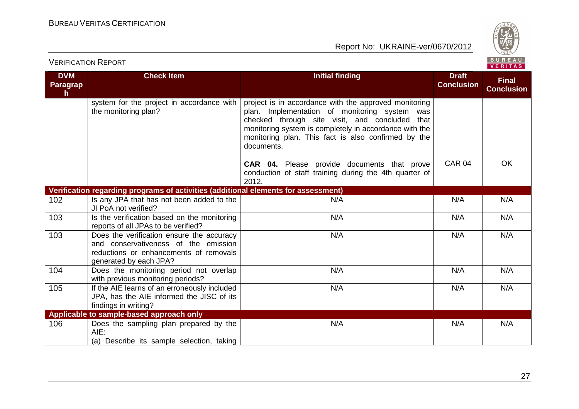



| <b>DVM</b><br>Paragrap<br>$\mathsf{h}$ | <b>Check Item</b>                                                                                                                                     | <b>Initial finding</b>                                                                                                                                                                                                                                                                  | <b>Draft</b><br><b>Conclusion</b> | <b>Final</b><br><b>Conclusion</b> |
|----------------------------------------|-------------------------------------------------------------------------------------------------------------------------------------------------------|-----------------------------------------------------------------------------------------------------------------------------------------------------------------------------------------------------------------------------------------------------------------------------------------|-----------------------------------|-----------------------------------|
|                                        | system for the project in accordance with<br>the monitoring plan?                                                                                     | project is in accordance with the approved monitoring<br>plan. Implementation of monitoring system was<br>checked through site visit, and concluded that<br>monitoring system is completely in accordance with the<br>monitoring plan. This fact is also confirmed by the<br>documents. |                                   |                                   |
|                                        |                                                                                                                                                       | <b>CAR 04.</b> Please provide documents that prove<br>conduction of staff training during the 4th quarter of<br>2012.                                                                                                                                                                   | <b>CAR 04</b>                     | <b>OK</b>                         |
|                                        | Verification regarding programs of activities (additional elements for assessment)                                                                    |                                                                                                                                                                                                                                                                                         |                                   |                                   |
| 102                                    | Is any JPA that has not been added to the<br>JI PoA not verified?                                                                                     | N/A                                                                                                                                                                                                                                                                                     | N/A                               | N/A                               |
| 103                                    | Is the verification based on the monitoring<br>reports of all JPAs to be verified?                                                                    | N/A                                                                                                                                                                                                                                                                                     | N/A                               | N/A                               |
| 103                                    | Does the verification ensure the accuracy<br>and conservativeness of the emission<br>reductions or enhancements of removals<br>generated by each JPA? | N/A                                                                                                                                                                                                                                                                                     | N/A                               | N/A                               |
| 104                                    | Does the monitoring period not overlap<br>with previous monitoring periods?                                                                           | N/A                                                                                                                                                                                                                                                                                     | N/A                               | N/A                               |
| 105                                    | If the AIE learns of an erroneously included<br>JPA, has the AIE informed the JISC of its<br>findings in writing?                                     | N/A                                                                                                                                                                                                                                                                                     | N/A                               | N/A                               |
|                                        | Applicable to sample-based approach only                                                                                                              |                                                                                                                                                                                                                                                                                         |                                   |                                   |
| 106                                    | Does the sampling plan prepared by the<br>AIE:<br>(a) Describe its sample selection, taking                                                           | N/A                                                                                                                                                                                                                                                                                     | N/A                               | N/A                               |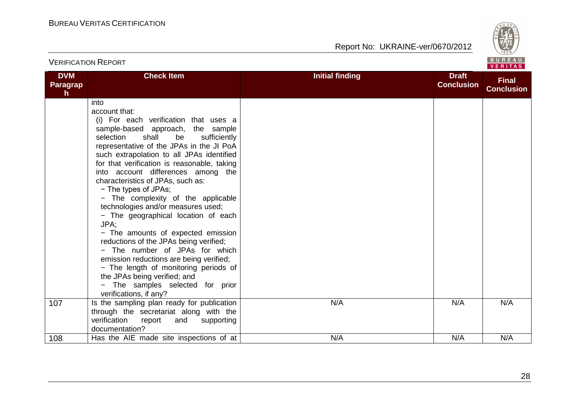

| <b>DVM</b><br><b>Paragrap</b><br>$\mathsf{h}$ | <b>Check Item</b>                                                                                                                                                                                                                                                                                                                                                                                                                                                                                                                                                                                                                                                                                                                                                                               | <b>Initial finding</b> | <b>Draft</b><br><b>Conclusion</b> | <b>Final</b><br><b>Conclusion</b> |
|-----------------------------------------------|-------------------------------------------------------------------------------------------------------------------------------------------------------------------------------------------------------------------------------------------------------------------------------------------------------------------------------------------------------------------------------------------------------------------------------------------------------------------------------------------------------------------------------------------------------------------------------------------------------------------------------------------------------------------------------------------------------------------------------------------------------------------------------------------------|------------------------|-----------------------------------|-----------------------------------|
|                                               | into<br>account that:<br>(i) For each verification that uses a<br>sample-based approach, the sample<br>shall<br>be<br>sufficiently<br>selection<br>representative of the JPAs in the JI PoA<br>such extrapolation to all JPAs identified<br>for that verification is reasonable, taking<br>into account differences among the<br>characteristics of JPAs, such as:<br>- The types of JPAs;<br>- The complexity of the applicable<br>technologies and/or measures used;<br>- The geographical location of each<br>JPA:<br>- The amounts of expected emission<br>reductions of the JPAs being verified;<br>- The number of JPAs for which<br>emission reductions are being verified;<br>- The length of monitoring periods of<br>the JPAs being verified; and<br>- The samples selected for prior |                        |                                   |                                   |
| 107                                           | verifications, if any?<br>Is the sampling plan ready for publication<br>through the secretariat along with the<br>verification<br>report<br>and<br>supporting<br>documentation?                                                                                                                                                                                                                                                                                                                                                                                                                                                                                                                                                                                                                 | N/A                    | N/A                               | N/A                               |
| 108                                           | Has the AIE made site inspections of at                                                                                                                                                                                                                                                                                                                                                                                                                                                                                                                                                                                                                                                                                                                                                         | N/A                    | N/A                               | N/A                               |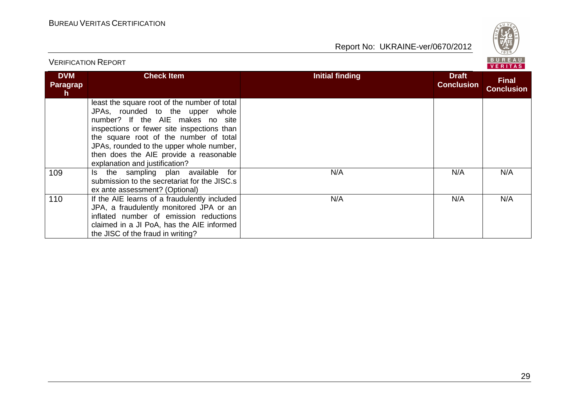

| <b>VERIFICATION REPORT</b>          |                                                                                                                                                                                                                                                                                                                                      |                        |                                   |                                   |
|-------------------------------------|--------------------------------------------------------------------------------------------------------------------------------------------------------------------------------------------------------------------------------------------------------------------------------------------------------------------------------------|------------------------|-----------------------------------|-----------------------------------|
| <b>DVM</b><br><b>Paragrap</b><br>h. | <b>Check Item</b>                                                                                                                                                                                                                                                                                                                    | <b>Initial finding</b> | <b>Draft</b><br><b>Conclusion</b> | <b>Final</b><br><b>Conclusion</b> |
|                                     | least the square root of the number of total<br>JPAs, rounded to the upper whole<br>number? If the AIE makes no site<br>inspections or fewer site inspections than<br>the square root of the number of total<br>JPAs, rounded to the upper whole number,<br>then does the AIE provide a reasonable<br>explanation and justification? |                        |                                   |                                   |
| 109                                 | the sampling plan available for<br>ls.<br>submission to the secretariat for the JISC.s<br>ex ante assessment? (Optional)                                                                                                                                                                                                             | N/A                    | N/A                               | N/A                               |
| 110                                 | If the AIE learns of a fraudulently included<br>JPA, a fraudulently monitored JPA or an<br>inflated number of emission reductions<br>claimed in a JI PoA, has the AIE informed<br>the JISC of the fraud in writing?                                                                                                                  | N/A                    | N/A                               | N/A                               |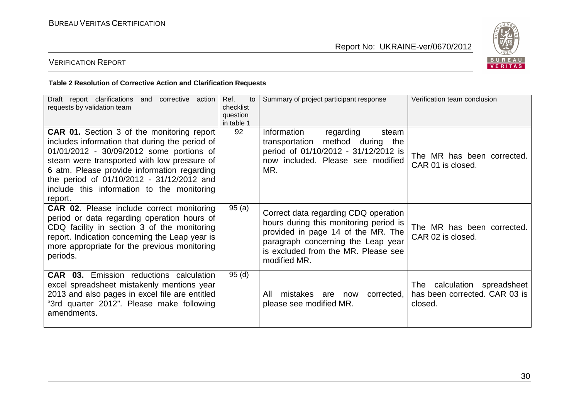

## VERIFICATION REPORT

#### **Table 2 Resolution of Corrective Action and Clarification Requests**

| Draft report clarifications<br>corrective action<br>and<br>requests by validation team                                                                                                                                                                                                                                                       | Ref.<br>to<br>checklist<br>question<br>in table 1 | Summary of project participant response                                                                                                                                                                           | Verification team conclusion                                            |
|----------------------------------------------------------------------------------------------------------------------------------------------------------------------------------------------------------------------------------------------------------------------------------------------------------------------------------------------|---------------------------------------------------|-------------------------------------------------------------------------------------------------------------------------------------------------------------------------------------------------------------------|-------------------------------------------------------------------------|
| CAR 01. Section 3 of the monitoring report<br>includes information that during the period of<br>01/01/2012 - 30/09/2012 some portions of<br>steam were transported with low pressure of<br>6 atm. Please provide information regarding<br>the period of 01/10/2012 - 31/12/2012 and<br>include this information to the monitoring<br>report. | 92                                                | Information<br>regarding<br>steam<br>method during the<br>transportation<br>period of 01/10/2012 - 31/12/2012 is<br>now included. Please see modified<br>MR.                                                      | The MR has been corrected.<br>CAR 01 is closed.                         |
| <b>CAR 02.</b> Please include correct monitoring<br>period or data regarding operation hours of<br>CDQ facility in section 3 of the monitoring<br>report. Indication concerning the Leap year is<br>more appropriate for the previous monitoring<br>periods.                                                                                 | 95(a)                                             | Correct data regarding CDQ operation<br>hours during this monitoring period is<br>provided in page 14 of the MR. The<br>paragraph concerning the Leap year<br>is excluded from the MR. Please see<br>modified MR. | The MR has been corrected.<br>CAR 02 is closed.                         |
| <b>CAR 03.</b> Emission reductions calculation<br>excel spreadsheet mistakenly mentions year<br>2013 and also pages in excel file are entitled<br>"3rd quarter 2012". Please make following<br>amendments.                                                                                                                                   | 95(d)                                             | mistakes<br>All<br>corrected,<br>are<br>now<br>please see modified MR.                                                                                                                                            | The calculation spreadsheet<br>has been corrected. CAR 03 is<br>closed. |